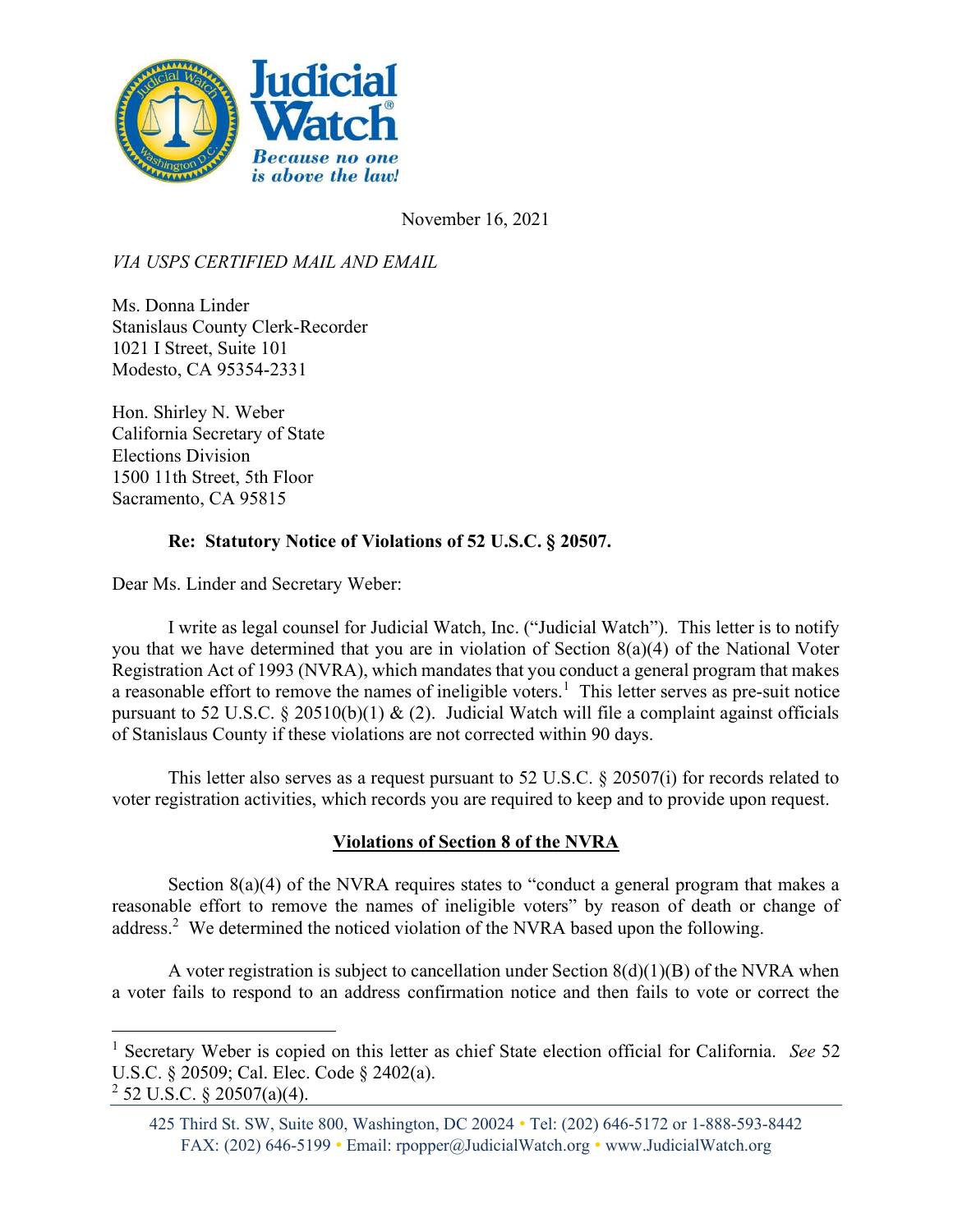

November 16, 2021

VIA USPS CERTIFIED MAIL AND EMAIL

Ms. Donna Linder Stanislaus County Clerk-Recorder 1021 I Street, Suite 101 Modesto, CA 95354-2331

Hon. Shirley N. Weber California Secretary of State Elections Division 1500 11th Street, 5th Floor Sacramento, CA 95815

## Re: Statutory Notice of Violations of 52 U.S.C. § 20507.

Dear Ms. Linder and Secretary Weber:

I write as legal counsel for Judicial Watch, Inc. ("Judicial Watch"). This letter is to notify you that we have determined that you are in violation of Section 8(a)(4) of the National Voter Registration Act of 1993 (NVRA), which mandates that you conduct a general program that makes a reasonable effort to remove the names of ineligible voters.<sup>1</sup> This letter serves as pre-suit notice pursuant to 52 U.S.C.  $\S$  20510(b)(1) & (2). Judicial Watch will file a complaint against officials of Stanislaus County if these violations are not corrected within 90 days.

This letter also serves as a request pursuant to 52 U.S.C. § 20507(i) for records related to voter registration activities, which records you are required to keep and to provide upon request.

## Violations of Section 8 of the NVRA

Section 8(a)(4) of the NVRA requires states to "conduct a general program that makes a reasonable effort to remove the names of ineligible voters" by reason of death or change of address.<sup>2</sup> We determined the noticed violation of the NVRA based upon the following.

A voter registration is subject to cancellation under Section  $8(d)(1)(B)$  of the NVRA when a voter fails to respond to an address confirmation notice and then fails to vote or correct the

<sup>&</sup>lt;sup>1</sup> Secretary Weber is copied on this letter as chief State election official for California. See 52 U.S.C. § 20509; Cal. Elec. Code § 2402(a).

 $2$  52 U.S.C. § 20507(a)(4).

<sup>425</sup> Third St. SW, Suite 800, Washington, DC 20024 • Tel: (202) 646-5172 or 1-888-593-8442 FAX: (202) 646-5199 • Email: rpopper@JudicialWatch.org • www.JudicialWatch.org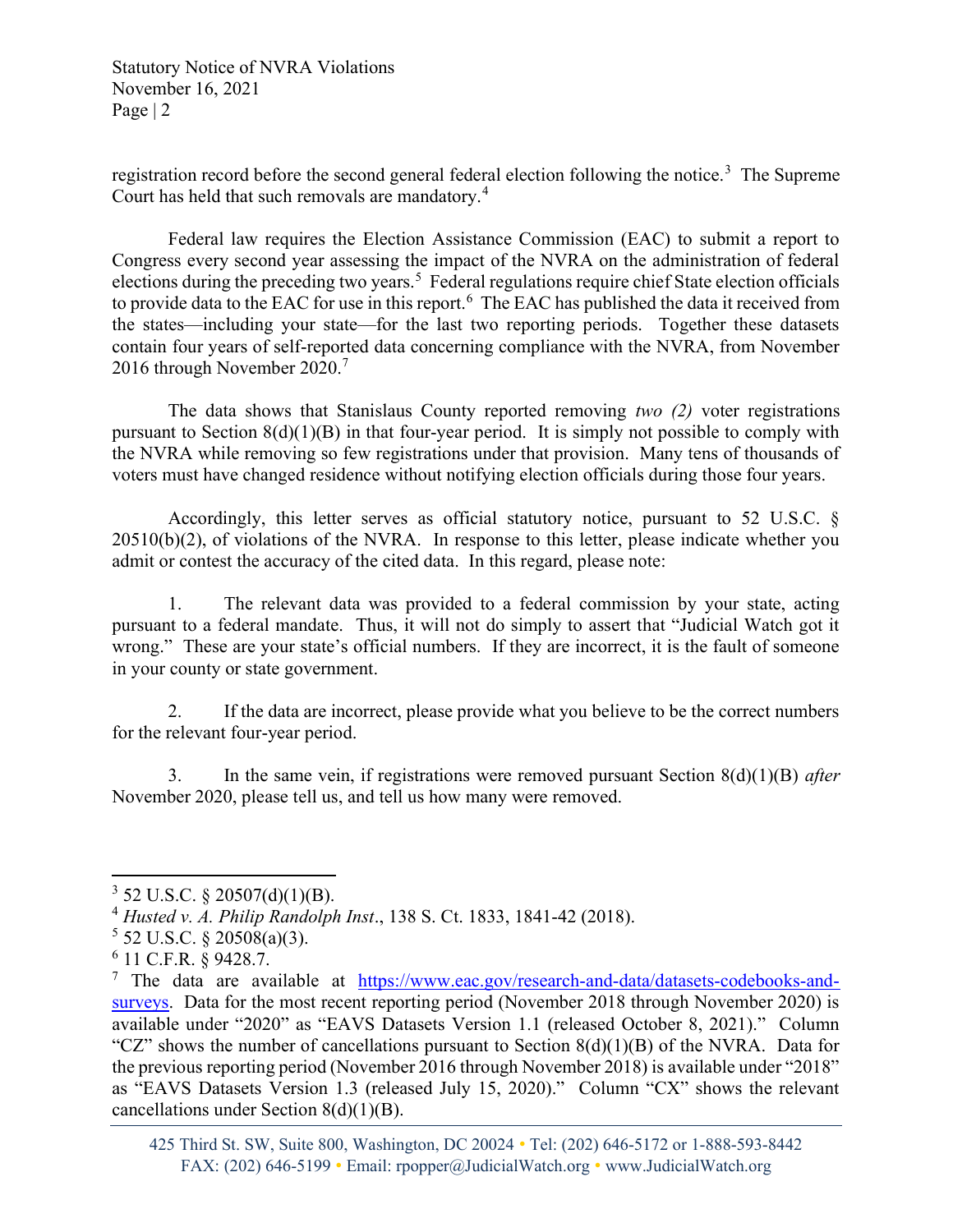Statutory Notice of NVRA Violations November 16, 2021 Page | 2

registration record before the second general federal election following the notice.<sup>3</sup> The Supreme Court has held that such removals are mandatory.<sup>4</sup>

Federal law requires the Election Assistance Commission (EAC) to submit a report to Congress every second year assessing the impact of the NVRA on the administration of federal elections during the preceding two years.<sup>5</sup> Federal regulations require chief State election officials to provide data to the EAC for use in this report.  $6$  The EAC has published the data it received from the states—including your state—for the last two reporting periods. Together these datasets contain four years of self-reported data concerning compliance with the NVRA, from November 2016 through November 2020.<sup>7</sup>

The data shows that Stanislaus County reported removing two  $(2)$  voter registrations pursuant to Section 8(d)(1)(B) in that four-year period. It is simply not possible to comply with the NVRA while removing so few registrations under that provision. Many tens of thousands of voters must have changed residence without notifying election officials during those four years.

Accordingly, this letter serves as official statutory notice, pursuant to 52 U.S.C. §  $20510(b)(2)$ , of violations of the NVRA. In response to this letter, please indicate whether you admit or contest the accuracy of the cited data. In this regard, please note:

1. The relevant data was provided to a federal commission by your state, acting pursuant to a federal mandate. Thus, it will not do simply to assert that "Judicial Watch got it wrong." These are your state's official numbers. If they are incorrect, it is the fault of someone in your county or state government.

2. If the data are incorrect, please provide what you believe to be the correct numbers for the relevant four-year period.

3. In the same vein, if registrations were removed pursuant Section  $8(d)(1)(B)$  after November 2020, please tell us, and tell us how many were removed.

 $3$  52 U.S.C. § 20507(d)(1)(B).

<sup>4</sup> Husted v. A. Philip Randolph Inst., 138 S. Ct. 1833, 1841-42 (2018).

 $5$  52 U.S.C. § 20508(a)(3).

<sup>6</sup> 11 C.F.R. § 9428.7.

<sup>&</sup>lt;sup>7</sup> The data are available at https://www.eac.gov/research-and-data/datasets-codebooks-andsurveys. Data for the most recent reporting period (November 2018 through November 2020) is available under "2020" as "EAVS Datasets Version 1.1 (released October 8, 2021)." Column "CZ" shows the number of cancellations pursuant to Section  $8(d)(1)(B)$  of the NVRA. Data for the previous reporting period (November 2016 through November 2018) is available under "2018" as "EAVS Datasets Version 1.3 (released July 15, 2020)." Column "CX" shows the relevant cancellations under Section 8(d)(1)(B).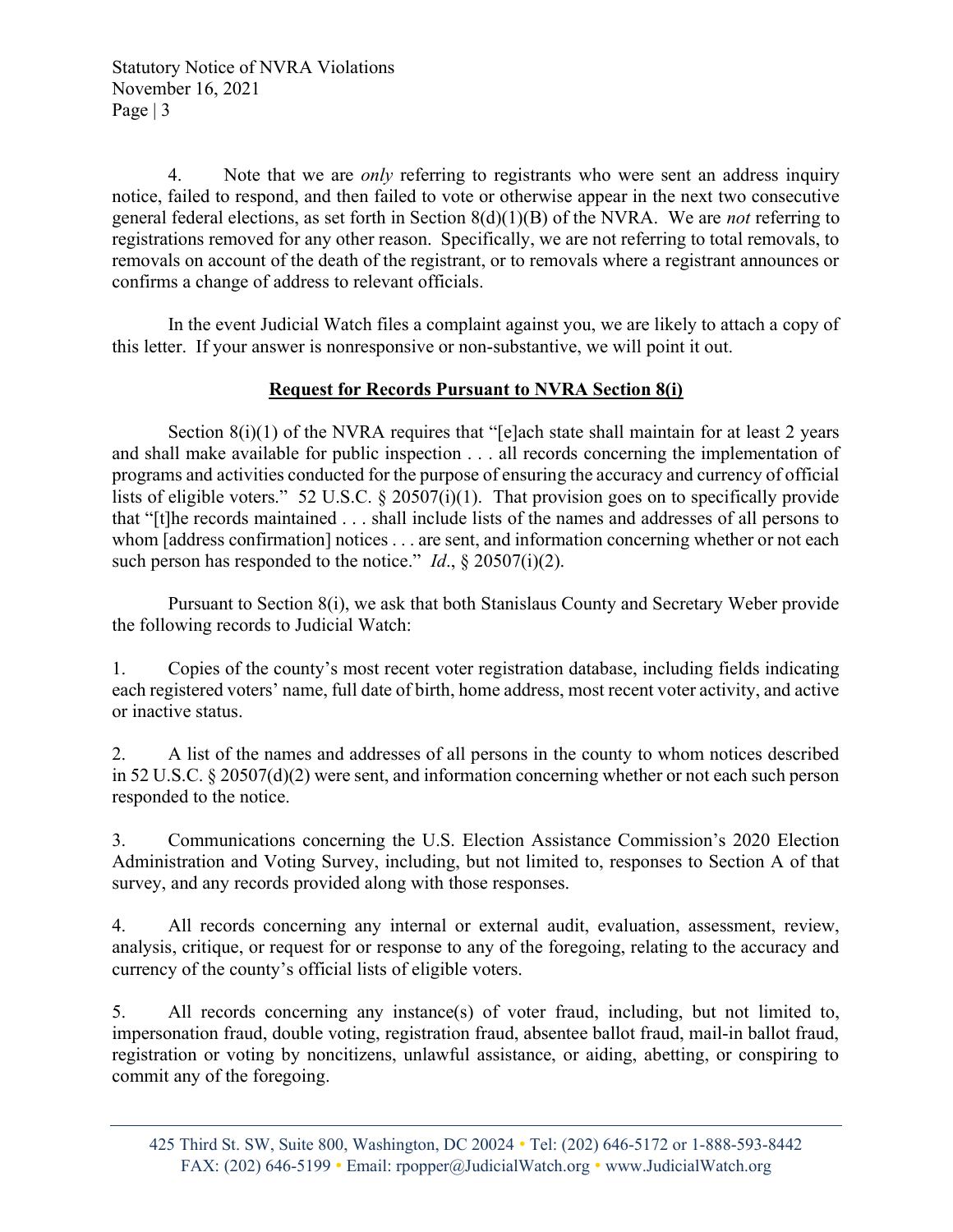Statutory Notice of NVRA Violations November 16, 2021 Page  $|3|$ 

4. Note that we are *only* referring to registrants who were sent an address inquiry notice, failed to respond, and then failed to vote or otherwise appear in the next two consecutive general federal elections, as set forth in Section  $8(d)(1)(B)$  of the NVRA. We are *not* referring to registrations removed for any other reason. Specifically, we are not referring to total removals, to removals on account of the death of the registrant, or to removals where a registrant announces or confirms a change of address to relevant officials.

In the event Judicial Watch files a complaint against you, we are likely to attach a copy of this letter. If your answer is nonresponsive or non-substantive, we will point it out.

## Request for Records Pursuant to NVRA Section 8(i)

Section  $8(i)(1)$  of the NVRA requires that "[e]ach state shall maintain for at least 2 years and shall make available for public inspection . . . all records concerning the implementation of programs and activities conducted for the purpose of ensuring the accuracy and currency of official lists of eligible voters." 52 U.S.C. § 20507(i)(1). That provision goes on to specifically provide that "[t]he records maintained . . . shall include lists of the names and addresses of all persons to whom [address confirmation] notices . . . are sent, and information concerning whether or not each such person has responded to the notice." *Id.*,  $\S 20507(i)(2)$ .

Pursuant to Section 8(i), we ask that both Stanislaus County and Secretary Weber provide the following records to Judicial Watch:

1. Copies of the county's most recent voter registration database, including fields indicating each registered voters' name, full date of birth, home address, most recent voter activity, and active or inactive status.

2. A list of the names and addresses of all persons in the county to whom notices described in 52 U.S.C. § 20507(d)(2) were sent, and information concerning whether or not each such person responded to the notice.

3. Communications concerning the U.S. Election Assistance Commission's 2020 Election Administration and Voting Survey, including, but not limited to, responses to Section A of that survey, and any records provided along with those responses.

4. All records concerning any internal or external audit, evaluation, assessment, review, analysis, critique, or request for or response to any of the foregoing, relating to the accuracy and currency of the county's official lists of eligible voters.

5. All records concerning any instance(s) of voter fraud, including, but not limited to, impersonation fraud, double voting, registration fraud, absentee ballot fraud, mail-in ballot fraud, registration or voting by noncitizens, unlawful assistance, or aiding, abetting, or conspiring to commit any of the foregoing.

<sup>425</sup> Third St. SW, Suite 800, Washington, DC 20024 • Tel: (202) 646-5172 or 1-888-593-8442 FAX: (202) 646-5199 • Email: rpopper@JudicialWatch.org • www.JudicialWatch.org